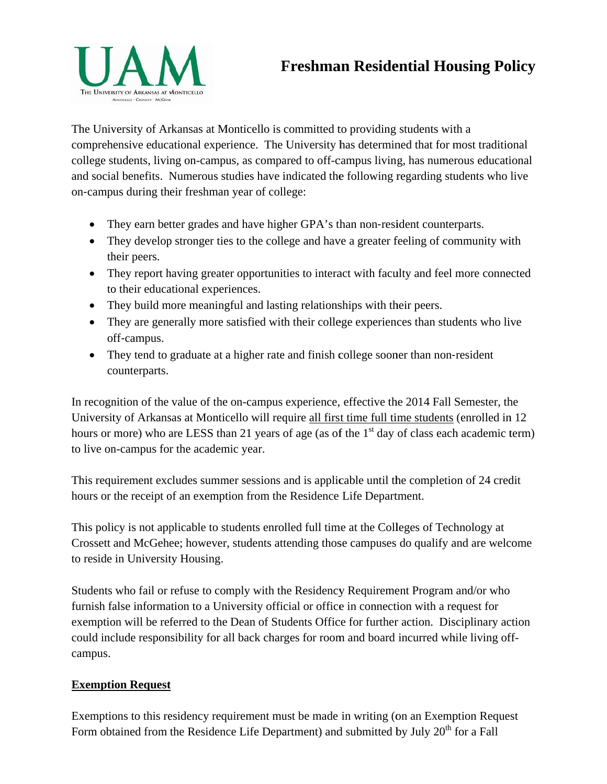

## **Freshman Residential Housing Policy**

The University of Arkansas at Monticello is committed to providing students with a comprehensive educational experience. The University has determined that for most traditional college students, living on-campus, as compared to off-campus living, has numerous educational and social benefits. Numerous studies have indicated the following regarding students who live on-campus during their freshman year of college:

- They earn better grades and have higher GPA's than non-resident counterparts.
- They develop stronger ties to the college and have a greater feeling of community with their peers.
- They report having greater opportunities to interact with faculty and feel more connected to their educational experiences.
- They build more meaningful and lasting relationships with their peers.
- They are generally more satisfied with their college experiences than students who live off‐campus.
- They tend to graduate at a higher rate and finish college sooner than non-resident counterparts.

In recognition of the value of the on-campus experience, effective the 2014 Fall Semester, the University of Arkansas at Monticello will require all first time full time students (enrolled in 12 hours or more) who are LESS than 21 years of age (as of the  $1<sup>st</sup>$  day of class each academic term) to live on-campus for the academic year.

hours or the receipt of an exemption from the Residence Life Department. This requirement excludes summer sessions and is applicable until the completion of 24 credit

This policy is not applicable to students enrolled full time at the Colleges of Technology at Crossett and McGehee; however, students attending those campuses do qualify and are welcome to reside in University Housing.

Students who fail or refuse to comply with the Residency Requirement Program and/or who furnish false information to a University official or office in connection with a request for exemption will be referred to the Dean of Students Office for further action. Disciplinary action could include responsibility for all back charges for room and board incurred while living offcampus.

## **Exemption Request**

Exemptions to this residency requirement must be made in writing (on an Exemption Request Form obtained from the Residence Life Department) and submitted by July  $20<sup>th</sup>$  for a Fall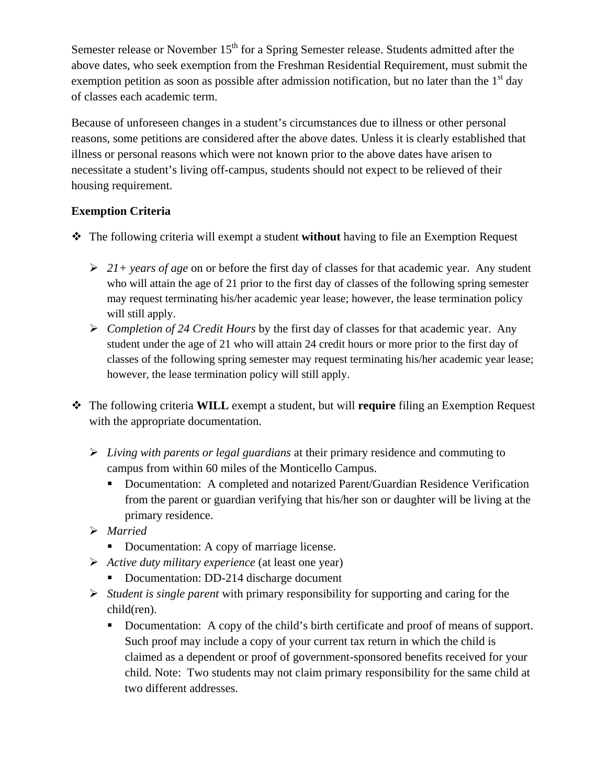of classes each academic term. Semester release or November  $15<sup>th</sup>$  for a Spring Semester release. Students admitted after the above dates, who seek exemption from the Freshman Residential Requirement, must submit the exemption petition as soon as possible after admission notification, but no later than the  $1<sup>st</sup>$  day

Because of unforeseen changes in a student's circumstances due to illness or other personal reasons, some petitions are considered after the above dates. Unless it is clearly established that illness or personal reasons which were not known prior to the above dates have arisen to necessitate a student's living off-campus, students should not expect to be relieved of their housing requirement.

## **Exemption Criteria**

- The following criteria will exempt a student **without** having to file an Exemption Request
	- *21+ years of age* on or before the first day of classes for that academic year. Any student who will attain the age of 21 prior to the first day of classes of the following spring semester may request terminating his/her academic year lease; however, the lease termination policy will still apply.
	- *Completion of 24 Credit Hours* by the first day of classes for that academic year. Any student under the age of 21 who will attain 24 credit hours or more prior to the first day of classes of the following spring semester may request terminating his/her academic year lease; however, the lease termination policy will still apply.
- The following criteria **WILL** exempt a student, but will **require** filing an Exemption Request with the appropriate documentation.
	- *Living with parents or legal guardians* at their primary residence and commuting to campus from within 60 miles of the Monticello Campus.
		- Documentation: A completed and notarized Parent/Guardian Residence Verification from the parent or guardian verifying that his/her son or daughter will be living at the primary residence.
	- *Married* 
		- Documentation: A copy of marriage license.
	- *Active duty military experience* (at least one year)
		- Documentation: DD-214 discharge document
	- *Student is single parent* with primary responsibility for supporting and caring for the child(ren).
		- Documentation: A copy of the child's birth certificate and proof of means of support. Such proof may include a copy of your current tax return in which the child is claimed as a dependent or proof of government-sponsored benefits received for your child. Note: Two students may not claim primary responsibility for the same child at two different addresses.